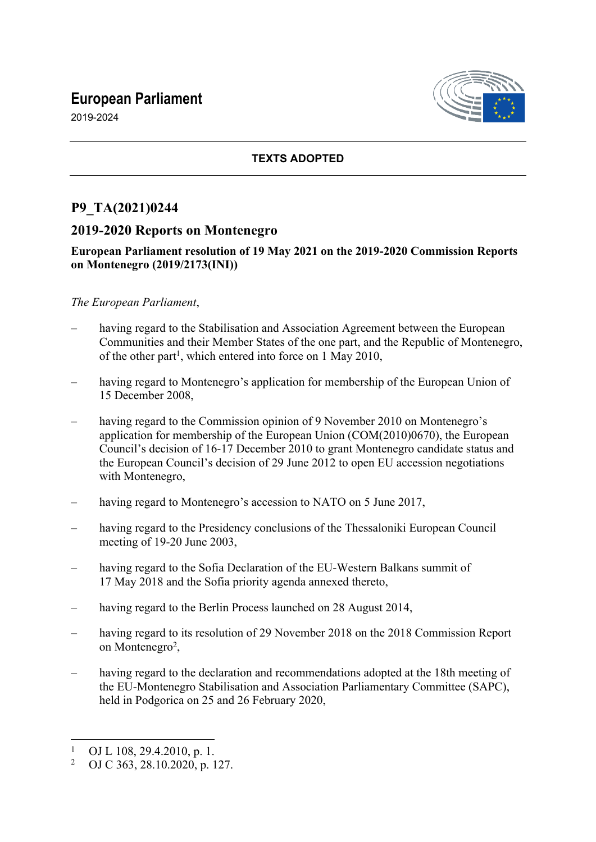# **European Parliament**



2019-2024

## **TEXTS ADOPTED**

# **P9\_TA(2021)0244**

## **2019-2020 Reports on Montenegro**

## **European Parliament resolution of 19 May 2021 on the 2019-2020 Commission Reports on Montenegro (2019/2173(INI))**

## *The European Parliament*,

- having regard to the Stabilisation and Association Agreement between the European Communities and their Member States of the one part, and the Republic of Montenegro, of the other part<sup>1</sup>, which entered into force on 1 May 2010,
- having regard to Montenegro's application for membership of the European Union of 15 December 2008,
- having regard to the Commission opinion of 9 November 2010 on Montenegro's application for membership of the European Union (COM(2010)0670), the European Council's decision of 16-17 December 2010 to grant Montenegro candidate status and the European Council's decision of 29 June 2012 to open EU accession negotiations with Montenegro,
- having regard to Montenegro's accession to NATO on 5 June 2017.
- having regard to the Presidency conclusions of the Thessaloniki European Council meeting of 19-20 June 2003,
- having regard to the Sofia Declaration of the EU-Western Balkans summit of 17 May 2018 and the Sofia priority agenda annexed thereto,
- having regard to the Berlin Process launched on 28 August 2014,
- having regard to its resolution of 29 November 2018 on the 2018 Commission Report on Montenegro<sup>2</sup>,
- having regard to the declaration and recommendations adopted at the 18th meeting of the EU-Montenegro Stabilisation and Association Parliamentary Committee (SAPC), held in Podgorica on 25 and 26 February 2020,

<sup>1</sup> OJ L 108, 29.4.2010, p. 1.

<sup>2</sup> OJ C 363, 28.10.2020, p. 127.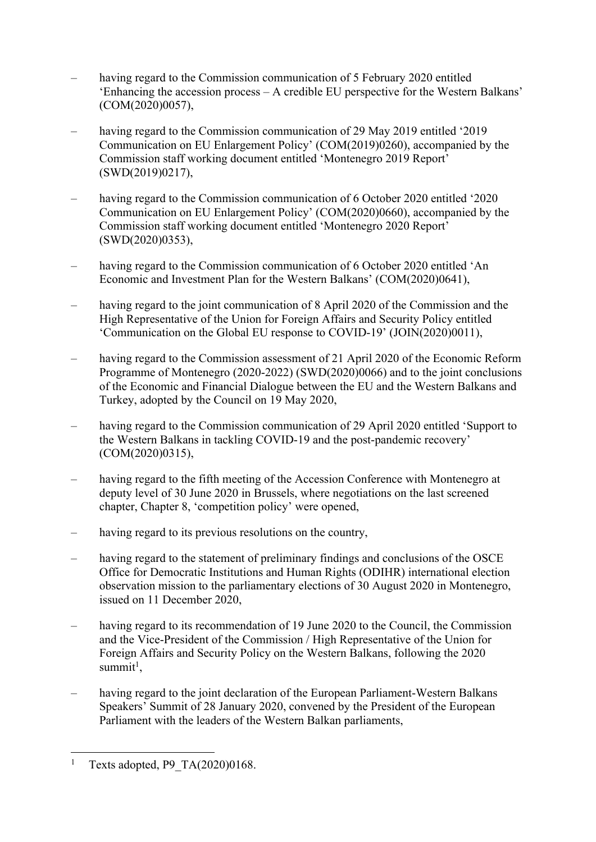- having regard to the Commission communication of 5 February 2020 entitled 'Enhancing the accession process – A credible EU perspective for the Western Balkans' (COM(2020)0057),
- having regard to the Commission communication of 29 May 2019 entitled '2019 Communication on EU Enlargement Policy' (COM(2019)0260), accompanied by the Commission staff working document entitled 'Montenegro 2019 Report' (SWD(2019)0217),
- having regard to the Commission communication of 6 October 2020 entitled '2020 Communication on EU Enlargement Policy' (COM(2020)0660), accompanied by the Commission staff working document entitled 'Montenegro 2020 Report' (SWD(2020)0353),
- having regard to the Commission communication of 6 October 2020 entitled 'An Economic and Investment Plan for the Western Balkans' (COM(2020)0641),
- having regard to the joint communication of 8 April 2020 of the Commission and the High Representative of the Union for Foreign Affairs and Security Policy entitled 'Communication on the Global EU response to COVID-19' (JOIN(2020)0011),
- having regard to the Commission assessment of 21 April 2020 of the Economic Reform Programme of Montenegro (2020-2022) (SWD(2020)0066) and to the joint conclusions of the Economic and Financial Dialogue between the EU and the Western Balkans and Turkey, adopted by the Council on 19 May 2020,
- having regard to the Commission communication of 29 April 2020 entitled 'Support to the Western Balkans in tackling COVID-19 and the post-pandemic recovery' (COM(2020)0315),
- having regard to the fifth meeting of the Accession Conference with Montenegro at deputy level of 30 June 2020 in Brussels, where negotiations on the last screened chapter, Chapter 8, 'competition policy' were opened,
- having regard to its previous resolutions on the country,
- having regard to the statement of preliminary findings and conclusions of the OSCE Office for Democratic Institutions and Human Rights (ODIHR) international election observation mission to the parliamentary elections of 30 August 2020 in Montenegro, issued on 11 December 2020,
- having regard to its recommendation of 19 June 2020 to the Council, the Commission and the Vice-President of the Commission / High Representative of the Union for Foreign Affairs and Security Policy on the Western Balkans, following the 2020 summit<sup>1</sup>,
- having regard to the joint declaration of the European Parliament-Western Balkans Speakers' Summit of 28 January 2020, convened by the President of the European Parliament with the leaders of the Western Balkan parliaments,

<sup>1</sup> Texts adopted, P9\_TA(2020)0168.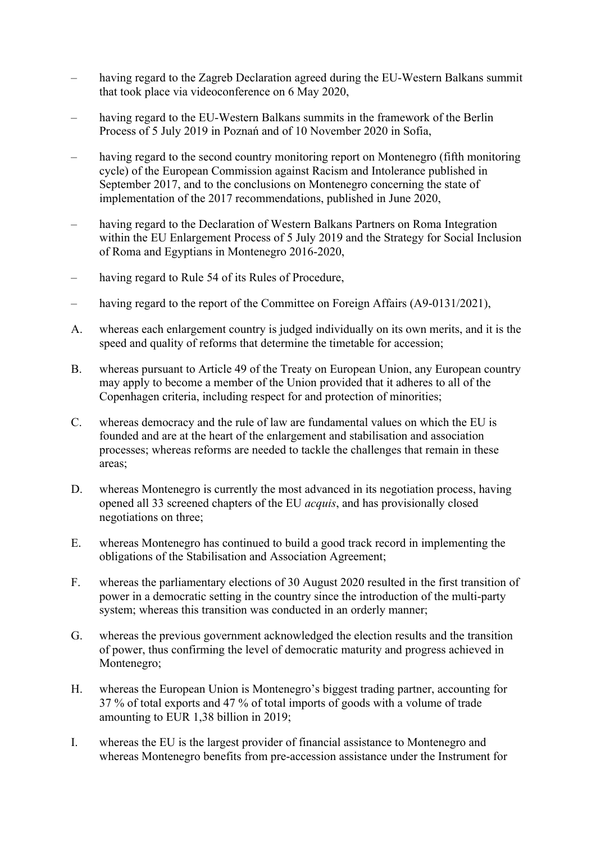- having regard to the Zagreb Declaration agreed during the EU-Western Balkans summit that took place via videoconference on 6 May 2020,
- having regard to the EU-Western Balkans summits in the framework of the Berlin Process of 5 July 2019 in Poznań and of 10 November 2020 in Sofia,
- having regard to the second country monitoring report on Montenegro (fifth monitoring cycle) of the European Commission against Racism and Intolerance published in September 2017, and to the conclusions on Montenegro concerning the state of implementation of the 2017 recommendations, published in June 2020,
- having regard to the Declaration of Western Balkans Partners on Roma Integration within the EU Enlargement Process of 5 July 2019 and the Strategy for Social Inclusion of Roma and Egyptians in Montenegro 2016-2020,
- having regard to Rule 54 of its Rules of Procedure,
- having regard to the report of the Committee on Foreign Affairs (A9-0131/2021),
- A. whereas each enlargement country is judged individually on its own merits, and it is the speed and quality of reforms that determine the timetable for accession;
- B. whereas pursuant to Article 49 of the Treaty on European Union, any European country may apply to become a member of the Union provided that it adheres to all of the Copenhagen criteria, including respect for and protection of minorities;
- C. whereas democracy and the rule of law are fundamental values on which the EU is founded and are at the heart of the enlargement and stabilisation and association processes; whereas reforms are needed to tackle the challenges that remain in these areas;
- D. whereas Montenegro is currently the most advanced in its negotiation process, having opened all 33 screened chapters of the EU *acquis*, and has provisionally closed negotiations on three;
- E. whereas Montenegro has continued to build a good track record in implementing the obligations of the Stabilisation and Association Agreement;
- F. whereas the parliamentary elections of 30 August 2020 resulted in the first transition of power in a democratic setting in the country since the introduction of the multi-party system; whereas this transition was conducted in an orderly manner;
- G. whereas the previous government acknowledged the election results and the transition of power, thus confirming the level of democratic maturity and progress achieved in Montenegro;
- H. whereas the European Union is Montenegro's biggest trading partner, accounting for 37 % of total exports and 47 % of total imports of goods with a volume of trade amounting to EUR 1,38 billion in 2019;
- I. whereas the EU is the largest provider of financial assistance to Montenegro and whereas Montenegro benefits from pre-accession assistance under the Instrument for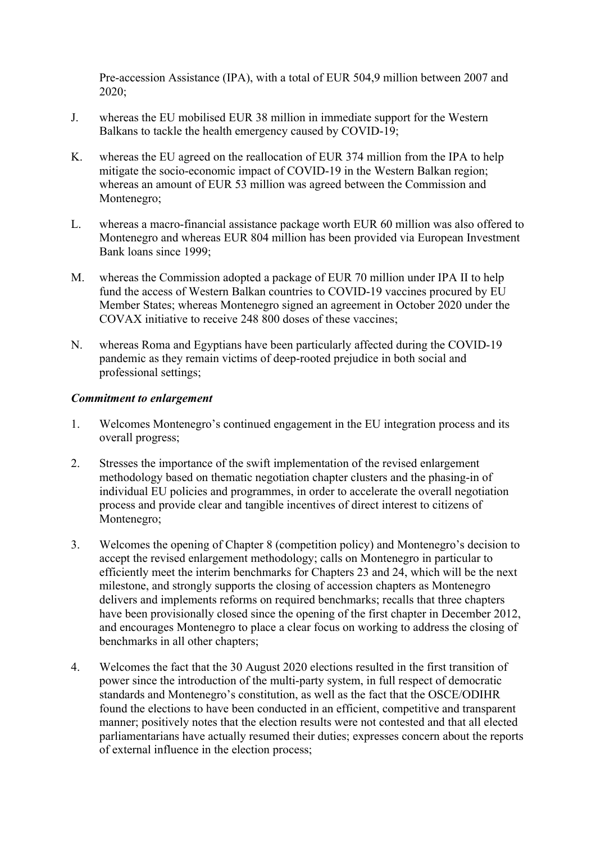Pre-accession Assistance (IPA), with a total of EUR 504,9 million between 2007 and 2020;

- J. whereas the EU mobilised EUR 38 million in immediate support for the Western Balkans to tackle the health emergency caused by COVID-19;
- K. whereas the EU agreed on the reallocation of EUR 374 million from the IPA to help mitigate the socio-economic impact of COVID-19 in the Western Balkan region; whereas an amount of EUR 53 million was agreed between the Commission and Montenegro;
- L. whereas a macro-financial assistance package worth EUR 60 million was also offered to Montenegro and whereas EUR 804 million has been provided via European Investment Bank loans since 1999;
- M. whereas the Commission adopted a package of EUR 70 million under IPA II to help fund the access of Western Balkan countries to COVID-19 vaccines procured by EU Member States; whereas Montenegro signed an agreement in October 2020 under the COVAX initiative to receive 248 800 doses of these vaccines;
- N. whereas Roma and Egyptians have been particularly affected during the COVID-19 pandemic as they remain victims of deep-rooted prejudice in both social and professional settings;

#### *Commitment to enlargement*

- 1. Welcomes Montenegro's continued engagement in the EU integration process and its overall progress;
- 2. Stresses the importance of the swift implementation of the revised enlargement methodology based on thematic negotiation chapter clusters and the phasing-in of individual EU policies and programmes, in order to accelerate the overall negotiation process and provide clear and tangible incentives of direct interest to citizens of Montenegro;
- 3. Welcomes the opening of Chapter 8 (competition policy) and Montenegro's decision to accept the revised enlargement methodology; calls on Montenegro in particular to efficiently meet the interim benchmarks for Chapters 23 and 24, which will be the next milestone, and strongly supports the closing of accession chapters as Montenegro delivers and implements reforms on required benchmarks; recalls that three chapters have been provisionally closed since the opening of the first chapter in December 2012, and encourages Montenegro to place a clear focus on working to address the closing of benchmarks in all other chapters;
- 4. Welcomes the fact that the 30 August 2020 elections resulted in the first transition of power since the introduction of the multi-party system, in full respect of democratic standards and Montenegro's constitution, as well as the fact that the OSCE/ODIHR found the elections to have been conducted in an efficient, competitive and transparent manner; positively notes that the election results were not contested and that all elected parliamentarians have actually resumed their duties; expresses concern about the reports of external influence in the election process;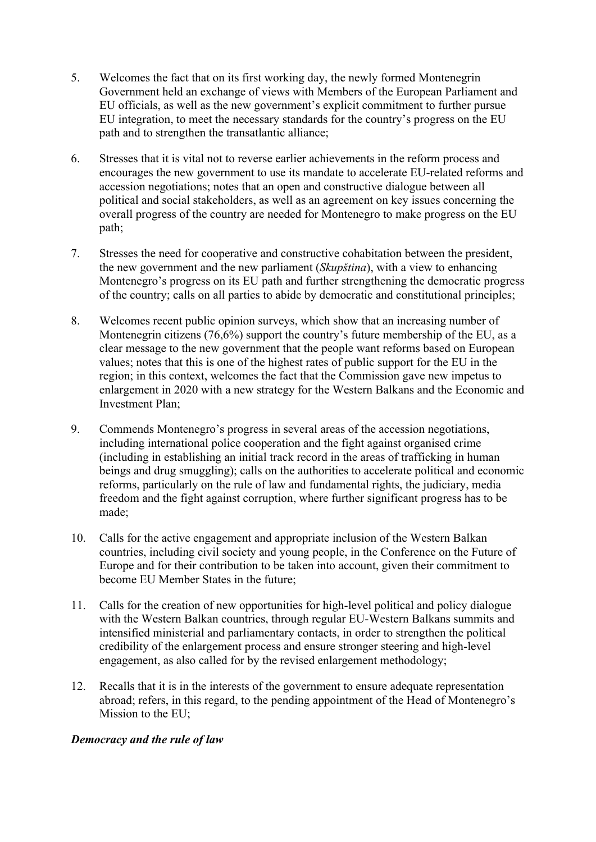- 5. Welcomes the fact that on its first working day, the newly formed Montenegrin Government held an exchange of views with Members of the European Parliament and EU officials, as well as the new government's explicit commitment to further pursue EU integration, to meet the necessary standards for the country's progress on the EU path and to strengthen the transatlantic alliance;
- 6. Stresses that it is vital not to reverse earlier achievements in the reform process and encourages the new government to use its mandate to accelerate EU-related reforms and accession negotiations; notes that an open and constructive dialogue between all political and social stakeholders, as well as an agreement on key issues concerning the overall progress of the country are needed for Montenegro to make progress on the EU path;
- 7. Stresses the need for cooperative and constructive cohabitation between the president, the new government and the new parliament (*Skupština*), with a view to enhancing Montenegro's progress on its EU path and further strengthening the democratic progress of the country; calls on all parties to abide by democratic and constitutional principles;
- 8. Welcomes recent public opinion surveys, which show that an increasing number of Montenegrin citizens (76,6%) support the country's future membership of the EU, as a clear message to the new government that the people want reforms based on European values; notes that this is one of the highest rates of public support for the EU in the region; in this context, welcomes the fact that the Commission gave new impetus to enlargement in 2020 with a new strategy for the Western Balkans and the Economic and Investment Plan;
- 9. Commends Montenegro's progress in several areas of the accession negotiations, including international police cooperation and the fight against organised crime (including in establishing an initial track record in the areas of trafficking in human beings and drug smuggling); calls on the authorities to accelerate political and economic reforms, particularly on the rule of law and fundamental rights, the judiciary, media freedom and the fight against corruption, where further significant progress has to be made;
- 10. Calls for the active engagement and appropriate inclusion of the Western Balkan countries, including civil society and young people, in the Conference on the Future of Europe and for their contribution to be taken into account, given their commitment to become EU Member States in the future;
- 11. Calls for the creation of new opportunities for high-level political and policy dialogue with the Western Balkan countries, through regular EU-Western Balkans summits and intensified ministerial and parliamentary contacts, in order to strengthen the political credibility of the enlargement process and ensure stronger steering and high-level engagement, as also called for by the revised enlargement methodology;
- 12. Recalls that it is in the interests of the government to ensure adequate representation abroad; refers, in this regard, to the pending appointment of the Head of Montenegro's Mission to the EU;

## *Democracy and the rule of law*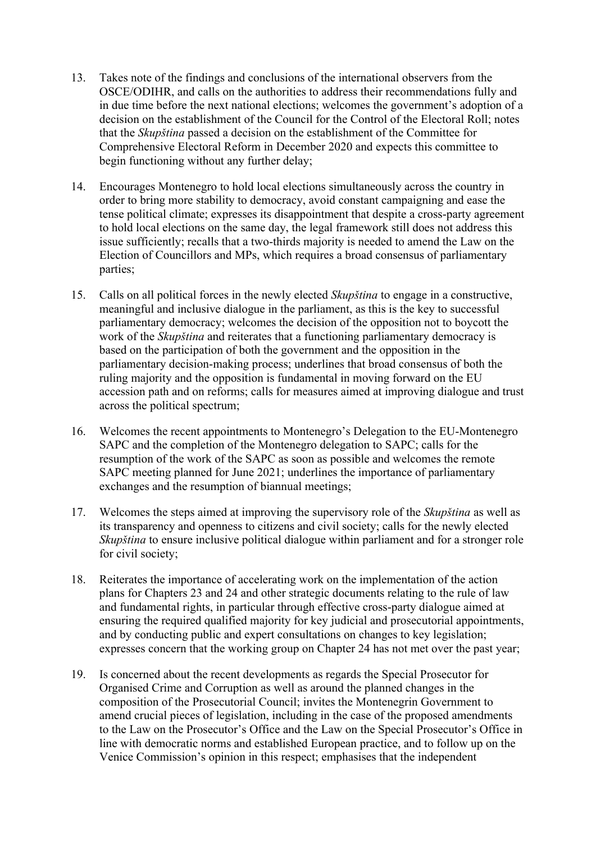- 13. Takes note of the findings and conclusions of the international observers from the OSCE/ODIHR, and calls on the authorities to address their recommendations fully and in due time before the next national elections; welcomes the government's adoption of a decision on the establishment of the Council for the Control of the Electoral Roll; notes that the *Skupština* passed a decision on the establishment of the Committee for Comprehensive Electoral Reform in December 2020 and expects this committee to begin functioning without any further delay;
- 14. Encourages Montenegro to hold local elections simultaneously across the country in order to bring more stability to democracy, avoid constant campaigning and ease the tense political climate; expresses its disappointment that despite a cross-party agreement to hold local elections on the same day, the legal framework still does not address this issue sufficiently; recalls that a two-thirds majority is needed to amend the Law on the Election of Councillors and MPs, which requires a broad consensus of parliamentary parties;
- 15. Calls on all political forces in the newly elected *Skupština* to engage in a constructive, meaningful and inclusive dialogue in the parliament, as this is the key to successful parliamentary democracy; welcomes the decision of the opposition not to boycott the work of the *Skupština* and reiterates that a functioning parliamentary democracy is based on the participation of both the government and the opposition in the parliamentary decision-making process; underlines that broad consensus of both the ruling majority and the opposition is fundamental in moving forward on the EU accession path and on reforms; calls for measures aimed at improving dialogue and trust across the political spectrum;
- 16. Welcomes the recent appointments to Montenegro's Delegation to the EU-Montenegro SAPC and the completion of the Montenegro delegation to SAPC; calls for the resumption of the work of the SAPC as soon as possible and welcomes the remote SAPC meeting planned for June 2021; underlines the importance of parliamentary exchanges and the resumption of biannual meetings;
- 17. Welcomes the steps aimed at improving the supervisory role of the *Skupština* as well as its transparency and openness to citizens and civil society; calls for the newly elected *Skupština* to ensure inclusive political dialogue within parliament and for a stronger role for civil society;
- 18. Reiterates the importance of accelerating work on the implementation of the action plans for Chapters 23 and 24 and other strategic documents relating to the rule of law and fundamental rights, in particular through effective cross-party dialogue aimed at ensuring the required qualified majority for key judicial and prosecutorial appointments, and by conducting public and expert consultations on changes to key legislation; expresses concern that the working group on Chapter 24 has not met over the past year;
- 19. Is concerned about the recent developments as regards the Special Prosecutor for Organised Crime and Corruption as well as around the planned changes in the composition of the Prosecutorial Council; invites the Montenegrin Government to amend crucial pieces of legislation, including in the case of the proposed amendments to the Law on the Prosecutor's Office and the Law on the Special Prosecutor's Office in line with democratic norms and established European practice, and to follow up on the Venice Commission's opinion in this respect; emphasises that the independent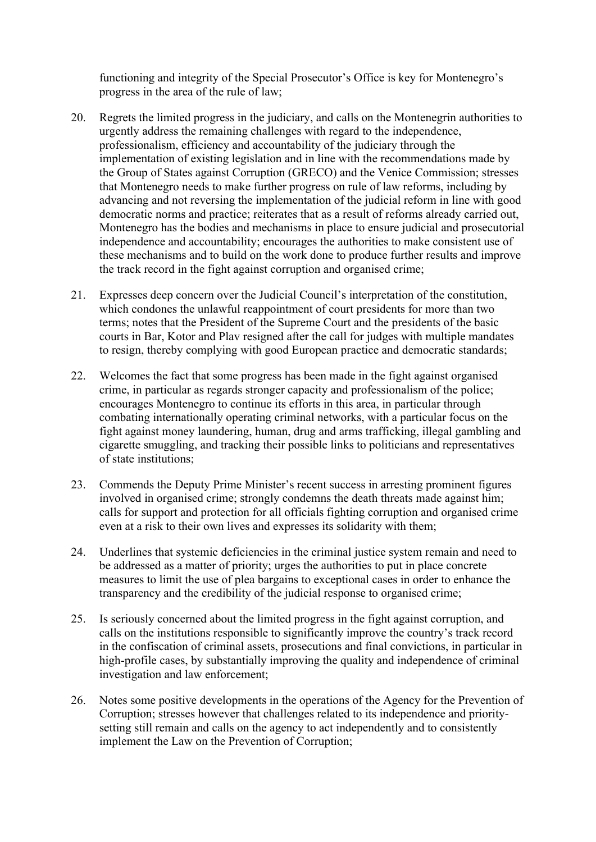functioning and integrity of the Special Prosecutor's Office is key for Montenegro's progress in the area of the rule of law;

- 20. Regrets the limited progress in the judiciary, and calls on the Montenegrin authorities to urgently address the remaining challenges with regard to the independence, professionalism, efficiency and accountability of the judiciary through the implementation of existing legislation and in line with the recommendations made by the Group of States against Corruption (GRECO) and the Venice Commission; stresses that Montenegro needs to make further progress on rule of law reforms, including by advancing and not reversing the implementation of the judicial reform in line with good democratic norms and practice; reiterates that as a result of reforms already carried out, Montenegro has the bodies and mechanisms in place to ensure judicial and prosecutorial independence and accountability; encourages the authorities to make consistent use of these mechanisms and to build on the work done to produce further results and improve the track record in the fight against corruption and organised crime;
- 21. Expresses deep concern over the Judicial Council's interpretation of the constitution, which condones the unlawful reappointment of court presidents for more than two terms; notes that the President of the Supreme Court and the presidents of the basic courts in Bar, Kotor and Plav resigned after the call for judges with multiple mandates to resign, thereby complying with good European practice and democratic standards;
- 22. Welcomes the fact that some progress has been made in the fight against organised crime, in particular as regards stronger capacity and professionalism of the police; encourages Montenegro to continue its efforts in this area, in particular through combating internationally operating criminal networks, with a particular focus on the fight against money laundering, human, drug and arms trafficking, illegal gambling and cigarette smuggling, and tracking their possible links to politicians and representatives of state institutions;
- 23. Commends the Deputy Prime Minister's recent success in arresting prominent figures involved in organised crime; strongly condemns the death threats made against him; calls for support and protection for all officials fighting corruption and organised crime even at a risk to their own lives and expresses its solidarity with them;
- 24. Underlines that systemic deficiencies in the criminal justice system remain and need to be addressed as a matter of priority; urges the authorities to put in place concrete measures to limit the use of plea bargains to exceptional cases in order to enhance the transparency and the credibility of the judicial response to organised crime;
- 25. Is seriously concerned about the limited progress in the fight against corruption, and calls on the institutions responsible to significantly improve the country's track record in the confiscation of criminal assets, prosecutions and final convictions, in particular in high-profile cases, by substantially improving the quality and independence of criminal investigation and law enforcement;
- 26. Notes some positive developments in the operations of the Agency for the Prevention of Corruption; stresses however that challenges related to its independence and prioritysetting still remain and calls on the agency to act independently and to consistently implement the Law on the Prevention of Corruption;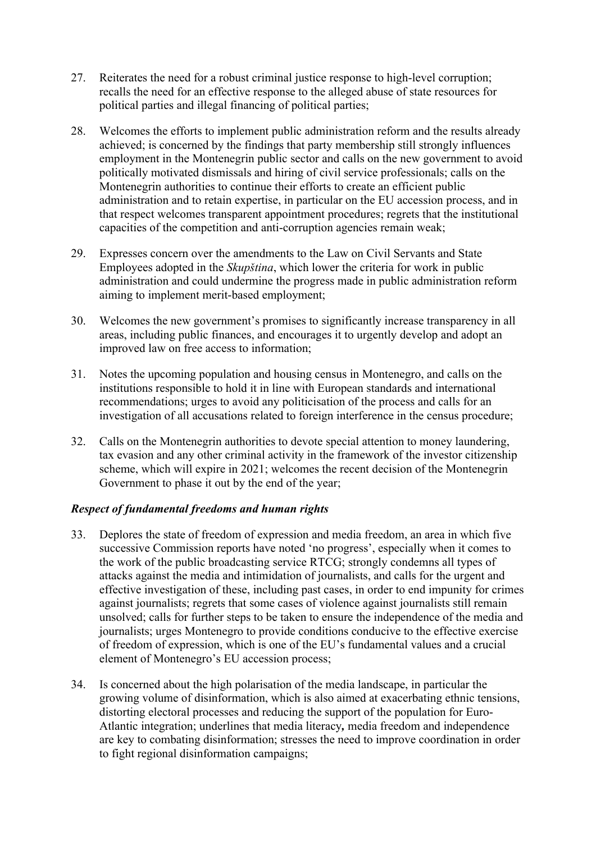- 27. Reiterates the need for a robust criminal justice response to high-level corruption; recalls the need for an effective response to the alleged abuse of state resources for political parties and illegal financing of political parties;
- 28. Welcomes the efforts to implement public administration reform and the results already achieved; is concerned by the findings that party membership still strongly influences employment in the Montenegrin public sector and calls on the new government to avoid politically motivated dismissals and hiring of civil service professionals; calls on the Montenegrin authorities to continue their efforts to create an efficient public administration and to retain expertise, in particular on the EU accession process, and in that respect welcomes transparent appointment procedures; regrets that the institutional capacities of the competition and anti-corruption agencies remain weak;
- 29. Expresses concern over the amendments to the Law on Civil Servants and State Employees adopted in the *Skupština*, which lower the criteria for work in public administration and could undermine the progress made in public administration reform aiming to implement merit-based employment;
- 30. Welcomes the new government's promises to significantly increase transparency in all areas, including public finances, and encourages it to urgently develop and adopt an improved law on free access to information;
- 31. Notes the upcoming population and housing census in Montenegro, and calls on the institutions responsible to hold it in line with European standards and international recommendations; urges to avoid any politicisation of the process and calls for an investigation of all accusations related to foreign interference in the census procedure;
- 32. Calls on the Montenegrin authorities to devote special attention to money laundering, tax evasion and any other criminal activity in the framework of the investor citizenship scheme, which will expire in 2021; welcomes the recent decision of the Montenegrin Government to phase it out by the end of the year;

## *Respect of fundamental freedoms and human rights*

- 33. Deplores the state of freedom of expression and media freedom, an area in which five successive Commission reports have noted 'no progress', especially when it comes to the work of the public broadcasting service RTCG; strongly condemns all types of attacks against the media and intimidation of journalists, and calls for the urgent and effective investigation of these, including past cases, in order to end impunity for crimes against journalists; regrets that some cases of violence against journalists still remain unsolved; calls for further steps to be taken to ensure the independence of the media and journalists; urges Montenegro to provide conditions conducive to the effective exercise of freedom of expression, which is one of the EU's fundamental values and a crucial element of Montenegro's EU accession process;
- 34. Is concerned about the high polarisation of the media landscape, in particular the growing volume of disinformation, which is also aimed at exacerbating ethnic tensions, distorting electoral processes and reducing the support of the population for Euro-Atlantic integration; underlines that media literacy*,* media freedom and independence are key to combating disinformation; stresses the need to improve coordination in order to fight regional disinformation campaigns;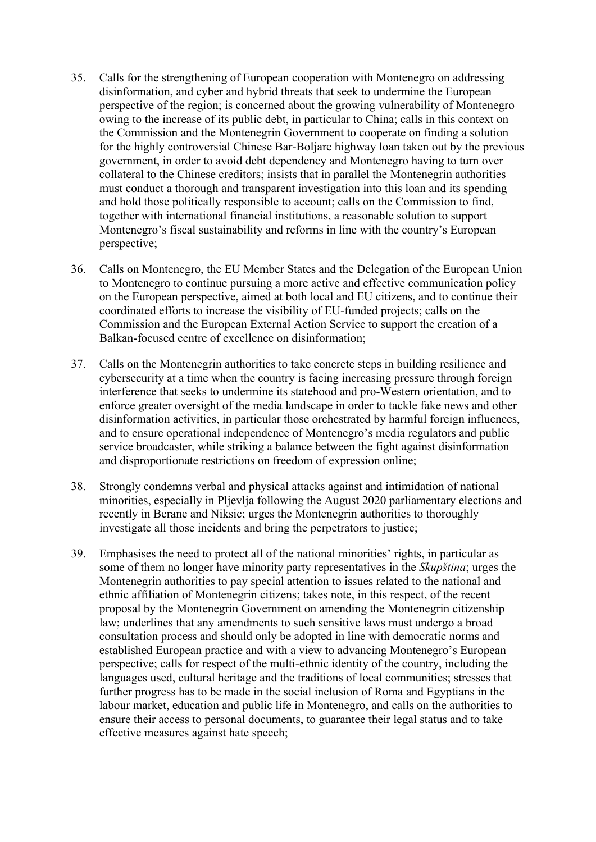- 35. Calls for the strengthening of European cooperation with Montenegro on addressing disinformation, and cyber and hybrid threats that seek to undermine the European perspective of the region; is concerned about the growing vulnerability of Montenegro owing to the increase of its public debt, in particular to China; calls in this context on the Commission and the Montenegrin Government to cooperate on finding a solution for the highly controversial Chinese Bar-Boljare highway loan taken out by the previous government, in order to avoid debt dependency and Montenegro having to turn over collateral to the Chinese creditors; insists that in parallel the Montenegrin authorities must conduct a thorough and transparent investigation into this loan and its spending and hold those politically responsible to account; calls on the Commission to find, together with international financial institutions, a reasonable solution to support Montenegro's fiscal sustainability and reforms in line with the country's European perspective;
- 36. Calls on Montenegro, the EU Member States and the Delegation of the European Union to Montenegro to continue pursuing a more active and effective communication policy on the European perspective, aimed at both local and EU citizens, and to continue their coordinated efforts to increase the visibility of EU-funded projects; calls on the Commission and the European External Action Service to support the creation of a Balkan-focused centre of excellence on disinformation;
- 37. Calls on the Montenegrin authorities to take concrete steps in building resilience and cybersecurity at a time when the country is facing increasing pressure through foreign interference that seeks to undermine its statehood and pro-Western orientation, and to enforce greater oversight of the media landscape in order to tackle fake news and other disinformation activities, in particular those orchestrated by harmful foreign influences, and to ensure operational independence of Montenegro's media regulators and public service broadcaster, while striking a balance between the fight against disinformation and disproportionate restrictions on freedom of expression online;
- 38. Strongly condemns verbal and physical attacks against and intimidation of national minorities, especially in Pljevlja following the August 2020 parliamentary elections and recently in Berane and Niksic; urges the Montenegrin authorities to thoroughly investigate all those incidents and bring the perpetrators to justice;
- 39. Emphasises the need to protect all of the national minorities' rights, in particular as some of them no longer have minority party representatives in the *Skupština*; urges the Montenegrin authorities to pay special attention to issues related to the national and ethnic affiliation of Montenegrin citizens; takes note, in this respect, of the recent proposal by the Montenegrin Government on amending the Montenegrin citizenship law; underlines that any amendments to such sensitive laws must undergo a broad consultation process and should only be adopted in line with democratic norms and established European practice and with a view to advancing Montenegro's European perspective; calls for respect of the multi-ethnic identity of the country, including the languages used, cultural heritage and the traditions of local communities; stresses that further progress has to be made in the social inclusion of Roma and Egyptians in the labour market, education and public life in Montenegro, and calls on the authorities to ensure their access to personal documents, to guarantee their legal status and to take effective measures against hate speech;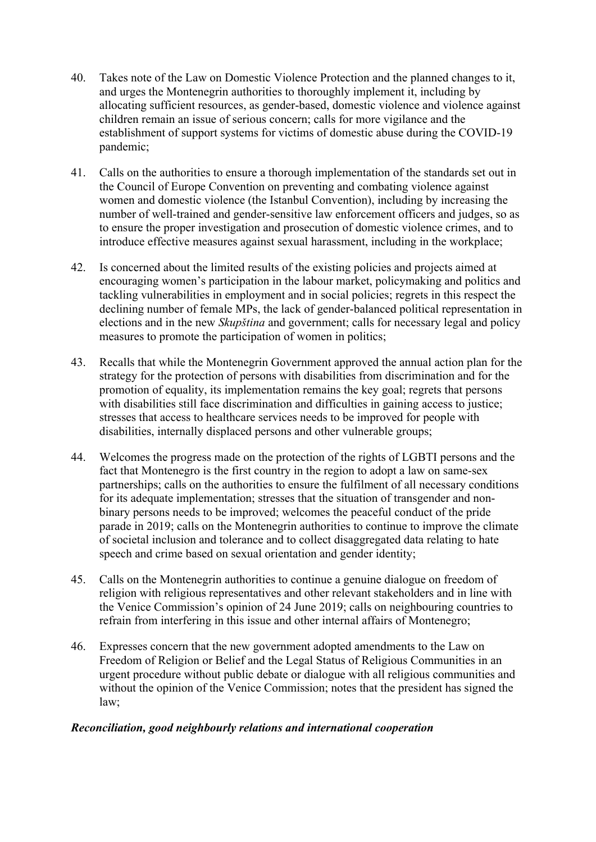- 40. Takes note of the Law on Domestic Violence Protection and the planned changes to it, and urges the Montenegrin authorities to thoroughly implement it, including by allocating sufficient resources, as gender-based, domestic violence and violence against children remain an issue of serious concern; calls for more vigilance and the establishment of support systems for victims of domestic abuse during the COVID-19 pandemic;
- 41. Calls on the authorities to ensure a thorough implementation of the standards set out in the Council of Europe Convention on preventing and combating violence against women and domestic violence (the Istanbul Convention), including by increasing the number of well-trained and gender-sensitive law enforcement officers and judges, so as to ensure the proper investigation and prosecution of domestic violence crimes, and to introduce effective measures against sexual harassment, including in the workplace;
- 42. Is concerned about the limited results of the existing policies and projects aimed at encouraging women's participation in the labour market, policymaking and politics and tackling vulnerabilities in employment and in social policies; regrets in this respect the declining number of female MPs, the lack of gender-balanced political representation in elections and in the new *Skupština* and government; calls for necessary legal and policy measures to promote the participation of women in politics;
- 43. Recalls that while the Montenegrin Government approved the annual action plan for the strategy for the protection of persons with disabilities from discrimination and for the promotion of equality, its implementation remains the key goal; regrets that persons with disabilities still face discrimination and difficulties in gaining access to justice; stresses that access to healthcare services needs to be improved for people with disabilities, internally displaced persons and other vulnerable groups;
- 44. Welcomes the progress made on the protection of the rights of LGBTI persons and the fact that Montenegro is the first country in the region to adopt a law on same-sex partnerships; calls on the authorities to ensure the fulfilment of all necessary conditions for its adequate implementation; stresses that the situation of transgender and nonbinary persons needs to be improved; welcomes the peaceful conduct of the pride parade in 2019; calls on the Montenegrin authorities to continue to improve the climate of societal inclusion and tolerance and to collect disaggregated data relating to hate speech and crime based on sexual orientation and gender identity;
- 45. Calls on the Montenegrin authorities to continue a genuine dialogue on freedom of religion with religious representatives and other relevant stakeholders and in line with the Venice Commission's opinion of 24 June 2019; calls on neighbouring countries to refrain from interfering in this issue and other internal affairs of Montenegro;
- 46. Expresses concern that the new government adopted amendments to the Law on Freedom of Religion or Belief and the Legal Status of Religious Communities in an urgent procedure without public debate or dialogue with all religious communities and without the opinion of the Venice Commission; notes that the president has signed the law;

## *Reconciliation, good neighbourly relations and international cooperation*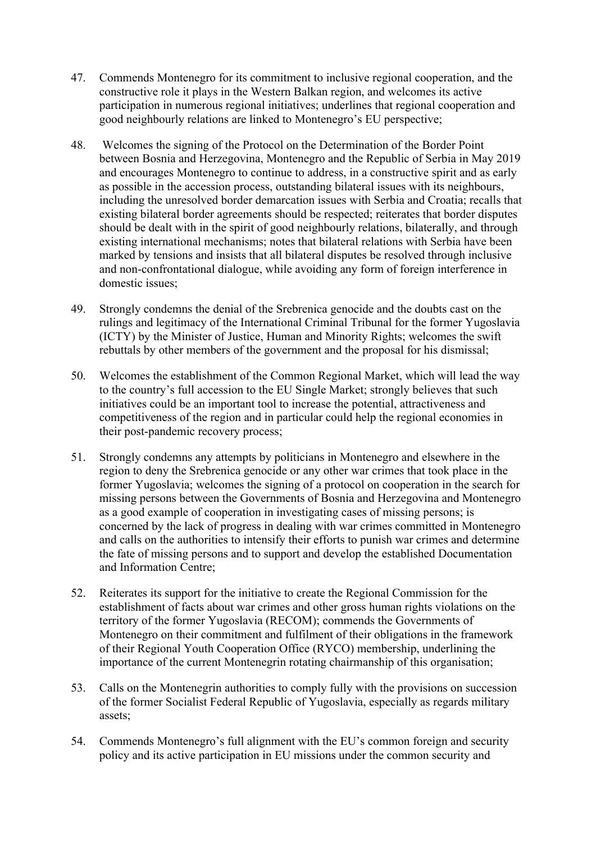- 47. Commends Montenegro for its commitment to inclusive regional cooperation, and the constructive role it plays in the Western Balkan region, and welcomes its active participation in numerous regional initiatives; underlines that regional cooperation and good neighbourly relations are linked to Montenegro's EU perspective;
- 48. Welcomes the signing of the Protocol on the Determination of the Border Point between Bosnia and Herzegovina, Montenegro and the Republic of Serbia in May 2019 and encourages Montenegro to continue to address, in a constructive spirit and as early as possible in the accession process, outstanding bilateral issues with its neighbours, including the unresolved border demarcation issues with Serbia and Croatia; recalls that existing bilateral border agreements should be respected; reiterates that border disputes should be dealt with in the spirit of good neighbourly relations, bilaterally, and through existing international mechanisms; notes that bilateral relations with Serbia have been marked by tensions and insists that all bilateral disputes be resolved through inclusive and non-confrontational dialogue, while avoiding any form of foreign interference in domestic issues;
- 49. Strongly condemns the denial of the Srebrenica genocide and the doubts cast on the rulings and legitimacy of the International Criminal Tribunal for the former Yugoslavia (ICTY) by the Minister of Justice, Human and Minority Rights; welcomes the swift rebuttals by other members of the government and the proposal for his dismissal;
- 50. Welcomes the establishment of the Common Regional Market, which will lead the way to the country's full accession to the EU Single Market; strongly believes that such initiatives could be an important tool to increase the potential, attractiveness and competitiveness of the region and in particular could help the regional economies in their post-pandemic recovery process;
- 51. Strongly condemns any attempts by politicians in Montenegro and elsewhere in the region to deny the Srebrenica genocide or any other war crimes that took place in the former Yugoslavia; welcomes the signing of a protocol on cooperation in the search for missing persons between the Governments of Bosnia and Herzegovina and Montenegro as a good example of cooperation in investigating cases of missing persons; is concerned by the lack of progress in dealing with war crimes committed in Montenegro and calls on the authorities to intensify their efforts to punish war crimes and determine the fate of missing persons and to support and develop the established Documentation and Information Centre;
- 52. Reiterates its support for the initiative to create the Regional Commission for the establishment of facts about war crimes and other gross human rights violations on the territory of the former Yugoslavia (RECOM); commends the Governments of Montenegro on their commitment and fulfilment of their obligations in the framework of their Regional Youth Cooperation Office (RYCO) membership, underlining the importance of the current Montenegrin rotating chairmanship of this organisation;
- 53. Calls on the Montenegrin authorities to comply fully with the provisions on succession of the former Socialist Federal Republic of Yugoslavia, especially as regards military assets;
- 54. Commends Montenegro's full alignment with the EU's common foreign and security policy and its active participation in EU missions under the common security and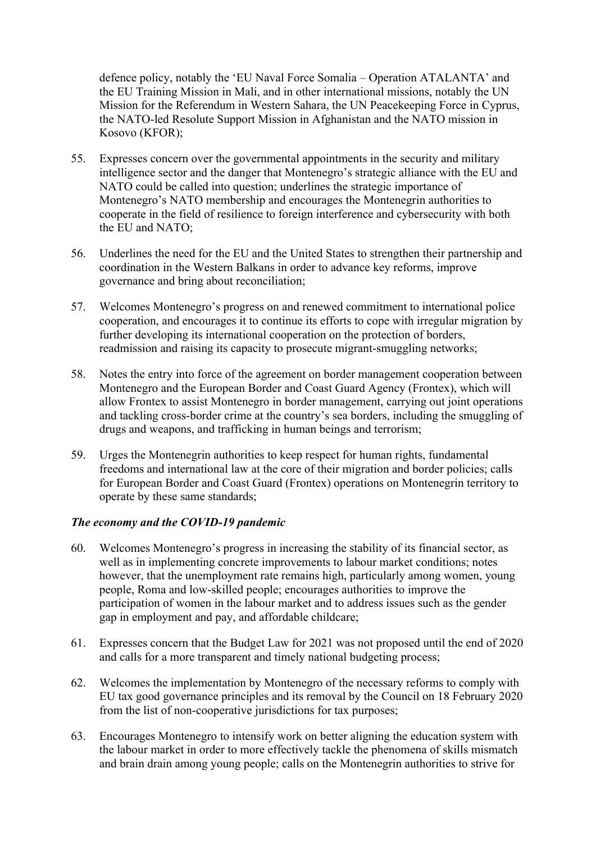defence policy, notably the 'EU Naval Force Somalia – Operation ATALANTA' and the EU Training Mission in Mali, and in other international missions, notably the UN Mission for the Referendum in Western Sahara, the UN Peacekeeping Force in Cyprus, the NATO-led Resolute Support Mission in Afghanistan and the NATO mission in Kosovo (KFOR);

- 55. Expresses concern over the governmental appointments in the security and military intelligence sector and the danger that Montenegro's strategic alliance with the EU and NATO could be called into question; underlines the strategic importance of Montenegro's NATO membership and encourages the Montenegrin authorities to cooperate in the field of resilience to foreign interference and cybersecurity with both the EU and NATO;
- 56. Underlines the need for the EU and the United States to strengthen their partnership and coordination in the Western Balkans in order to advance key reforms, improve governance and bring about reconciliation;
- 57. Welcomes Montenegro's progress on and renewed commitment to international police cooperation, and encourages it to continue its efforts to cope with irregular migration by further developing its international cooperation on the protection of borders, readmission and raising its capacity to prosecute migrant-smuggling networks;
- 58. Notes the entry into force of the agreement on border management cooperation between Montenegro and the European Border and Coast Guard Agency (Frontex), which will allow Frontex to assist Montenegro in border management, carrying out joint operations and tackling cross-border crime at the country's sea borders, including the smuggling of drugs and weapons, and trafficking in human beings and terrorism;
- 59. Urges the Montenegrin authorities to keep respect for human rights, fundamental freedoms and international law at the core of their migration and border policies; calls for European Border and Coast Guard (Frontex) operations on Montenegrin territory to operate by these same standards;

## *The economy and the COVID-19 pandemic*

- 60. Welcomes Montenegro's progress in increasing the stability of its financial sector, as well as in implementing concrete improvements to labour market conditions; notes however, that the unemployment rate remains high, particularly among women, young people, Roma and low-skilled people; encourages authorities to improve the participation of women in the labour market and to address issues such as the gender gap in employment and pay, and affordable childcare;
- 61. Expresses concern that the Budget Law for 2021 was not proposed until the end of 2020 and calls for a more transparent and timely national budgeting process;
- 62. Welcomes the implementation by Montenegro of the necessary reforms to comply with EU tax good governance principles and its removal by the Council on 18 February 2020 from the list of non-cooperative jurisdictions for tax purposes;
- 63. Encourages Montenegro to intensify work on better aligning the education system with the labour market in order to more effectively tackle the phenomena of skills mismatch and brain drain among young people; calls on the Montenegrin authorities to strive for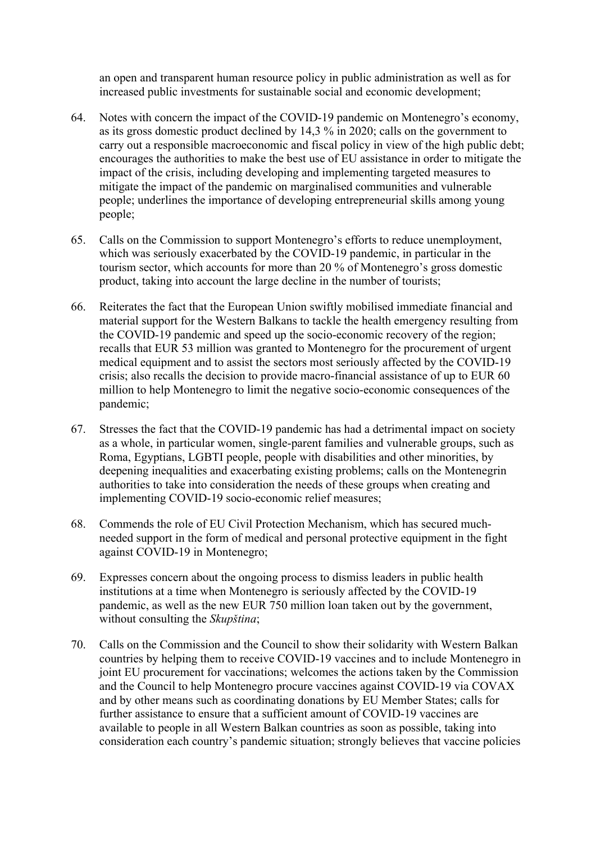an open and transparent human resource policy in public administration as well as for increased public investments for sustainable social and economic development;

- 64. Notes with concern the impact of the COVID-19 pandemic on Montenegro's economy, as its gross domestic product declined by 14,3 % in 2020; calls on the government to carry out a responsible macroeconomic and fiscal policy in view of the high public debt; encourages the authorities to make the best use of EU assistance in order to mitigate the impact of the crisis, including developing and implementing targeted measures to mitigate the impact of the pandemic on marginalised communities and vulnerable people; underlines the importance of developing entrepreneurial skills among young people;
- 65. Calls on the Commission to support Montenegro's efforts to reduce unemployment, which was seriously exacerbated by the COVID-19 pandemic, in particular in the tourism sector, which accounts for more than 20 % of Montenegro's gross domestic product, taking into account the large decline in the number of tourists;
- 66. Reiterates the fact that the European Union swiftly mobilised immediate financial and material support for the Western Balkans to tackle the health emergency resulting from the COVID-19 pandemic and speed up the socio-economic recovery of the region; recalls that EUR 53 million was granted to Montenegro for the procurement of urgent medical equipment and to assist the sectors most seriously affected by the COVID-19 crisis; also recalls the decision to provide macro-financial assistance of up to EUR 60 million to help Montenegro to limit the negative socio-economic consequences of the pandemic;
- 67. Stresses the fact that the COVID-19 pandemic has had a detrimental impact on society as a whole, in particular women, single-parent families and vulnerable groups, such as Roma, Egyptians, LGBTI people, people with disabilities and other minorities, by deepening inequalities and exacerbating existing problems; calls on the Montenegrin authorities to take into consideration the needs of these groups when creating and implementing COVID-19 socio-economic relief measures;
- 68. Commends the role of EU Civil Protection Mechanism, which has secured muchneeded support in the form of medical and personal protective equipment in the fight against COVID-19 in Montenegro;
- 69. Expresses concern about the ongoing process to dismiss leaders in public health institutions at a time when Montenegro is seriously affected by the COVID-19 pandemic, as well as the new EUR 750 million loan taken out by the government, without consulting the *Skupština*;
- 70. Calls on the Commission and the Council to show their solidarity with Western Balkan countries by helping them to receive COVID-19 vaccines and to include Montenegro in joint EU procurement for vaccinations; welcomes the actions taken by the Commission and the Council to help Montenegro procure vaccines against COVID-19 via COVAX and by other means such as coordinating donations by EU Member States; calls for further assistance to ensure that a sufficient amount of COVID-19 vaccines are available to people in all Western Balkan countries as soon as possible, taking into consideration each country's pandemic situation; strongly believes that vaccine policies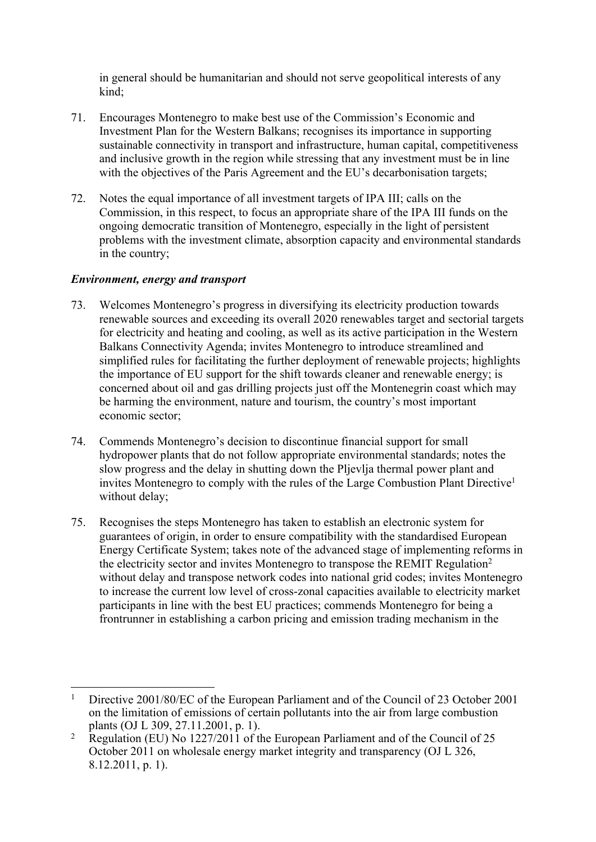in general should be humanitarian and should not serve geopolitical interests of any kind;

- 71. Encourages Montenegro to make best use of the Commission's Economic and Investment Plan for the Western Balkans; recognises its importance in supporting sustainable connectivity in transport and infrastructure, human capital, competitiveness and inclusive growth in the region while stressing that any investment must be in line with the objectives of the Paris Agreement and the EU's decarbonisation targets;
- 72. Notes the equal importance of all investment targets of IPA III; calls on the Commission, in this respect, to focus an appropriate share of the IPA III funds on the ongoing democratic transition of Montenegro, especially in the light of persistent problems with the investment climate, absorption capacity and environmental standards in the country;

## *Environment, energy and transport*

- 73. Welcomes Montenegro's progress in diversifying its electricity production towards renewable sources and exceeding its overall 2020 renewables target and sectorial targets for electricity and heating and cooling, as well as its active participation in the Western Balkans Connectivity Agenda; invites Montenegro to introduce streamlined and simplified rules for facilitating the further deployment of renewable projects; highlights the importance of EU support for the shift towards cleaner and renewable energy; is concerned about oil and gas drilling projects just off the Montenegrin coast which may be harming the environment, nature and tourism, the country's most important economic sector;
- 74. Commends Montenegro's decision to discontinue financial support for small hydropower plants that do not follow appropriate environmental standards; notes the slow progress and the delay in shutting down the Pljevlja thermal power plant and invites Montenegro to comply with the rules of the Large Combustion Plant Directive<sup>1</sup> without delay;
- 75. Recognises the steps Montenegro has taken to establish an electronic system for guarantees of origin, in order to ensure compatibility with the standardised European Energy Certificate System; takes note of the advanced stage of implementing reforms in the electricity sector and invites Montenegro to transpose the REMIT Regulation<sup>2</sup> without delay and transpose network codes into national grid codes; invites Montenegro to increase the current low level of cross-zonal capacities available to electricity market participants in line with the best EU practices; commends Montenegro for being a frontrunner in establishing a carbon pricing and emission trading mechanism in the

<sup>1</sup> Directive 2001/80/EC of the European Parliament and of the Council of 23 October 2001 on the limitation of emissions of certain pollutants into the air from large combustion plants (OJ L 309, 27.11.2001, p. 1).

<sup>2</sup> Regulation (EU) No 1227/2011 of the European Parliament and of the Council of 25 October 2011 on wholesale energy market integrity and transparency (OJ L 326, 8.12.2011, p. 1).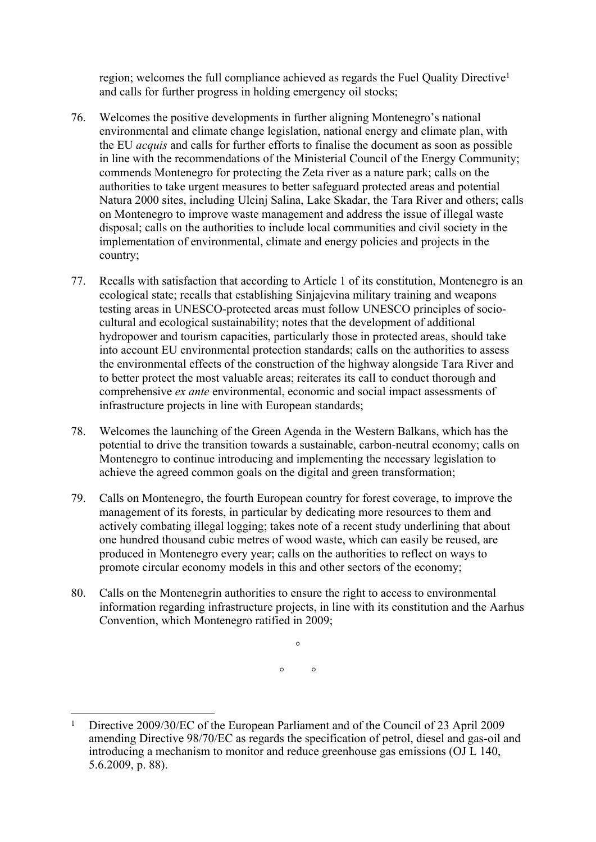region; welcomes the full compliance achieved as regards the Fuel Quality Directive<sup>1</sup> and calls for further progress in holding emergency oil stocks;

- 76. Welcomes the positive developments in further aligning Montenegro's national environmental and climate change legislation, national energy and climate plan, with the EU *acquis* and calls for further efforts to finalise the document as soon as possible in line with the recommendations of the Ministerial Council of the Energy Community; commends Montenegro for protecting the Zeta river as a nature park; calls on the authorities to take urgent measures to better safeguard protected areas and potential Natura 2000 sites, including Ulcinj Salina, Lake Skadar, the Tara River and others; calls on Montenegro to improve waste management and address the issue of illegal waste disposal; calls on the authorities to include local communities and civil society in the implementation of environmental, climate and energy policies and projects in the country;
- 77. Recalls with satisfaction that according to Article 1 of its constitution, Montenegro is an ecological state; recalls that establishing Sinjajevina military training and weapons testing areas in UNESCO-protected areas must follow UNESCO principles of sociocultural and ecological sustainability; notes that the development of additional hydropower and tourism capacities, particularly those in protected areas, should take into account EU environmental protection standards; calls on the authorities to assess the environmental effects of the construction of the highway alongside Tara River and to better protect the most valuable areas; reiterates its call to conduct thorough and comprehensive *ex ante* environmental, economic and social impact assessments of infrastructure projects in line with European standards;
- 78. Welcomes the launching of the Green Agenda in the Western Balkans, which has the potential to drive the transition towards a sustainable, carbon-neutral economy; calls on Montenegro to continue introducing and implementing the necessary legislation to achieve the agreed common goals on the digital and green transformation;
- 79. Calls on Montenegro, the fourth European country for forest coverage, to improve the management of its forests, in particular by dedicating more resources to them and actively combating illegal logging; takes note of a recent study underlining that about one hundred thousand cubic metres of wood waste, which can easily be reused, are produced in Montenegro every year; calls on the authorities to reflect on ways to promote circular economy models in this and other sectors of the economy;
- 80. Calls on the Montenegrin authorities to ensure the right to access to environmental information regarding infrastructure projects, in line with its constitution and the Aarhus Convention, which Montenegro ratified in 2009;

 $\circ$  $\circ$   $\circ$ 

<sup>1</sup> Directive 2009/30/EC of the European Parliament and of the Council of 23 April 2009 amending Directive 98/70/EC as regards the specification of petrol, diesel and gas-oil and introducing a mechanism to monitor and reduce greenhouse gas emissions (OJ L 140, 5.6.2009, p. 88).